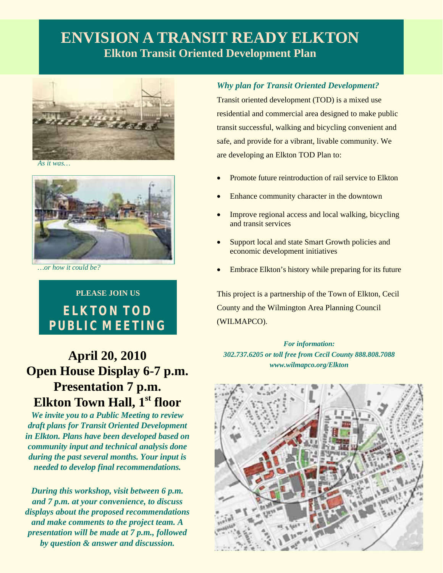# **ENVISION A TRANSIT READY ELKTON Elkton Transit Oriented Development Plan**



*As it was…* 



*…or how it could be?* 

# **PLEASE JOIN US ELKTON TOD PUBLIC MEETING**

# **April 20, 2010 Open House Display 6-7 p.m. Presentation 7 p.m. Elkton Town Hall, 1st floor**

*We invite you to a Public Meeting to review draft plans for Transit Oriented Development in Elkton. Plans have been developed based on community input and technical analysis done during the past several months. Your input is needed to develop final recommendations.* 

*During this workshop, visit between 6 p.m. and 7 p.m. at your convenience, to discuss displays about the proposed recommendations and make comments to the project team. A presentation will be made at 7 p.m., followed by question & answer and discussion.* 

### *Why plan for Transit Oriented Development?*

Transit oriented development (TOD) is a mixed use residential and commercial area designed to make public transit successful, walking and bicycling convenient and safe, and provide for a vibrant, livable community. We are developing an Elkton TOD Plan to:

- Promote future reintroduction of rail service to Elkton
- Enhance community character in the downtown
- Improve regional access and local walking, bicycling and transit services
- Support local and state Smart Growth policies and economic development initiatives
- Embrace Elkton's history while preparing for its future

This project is a partnership of the Town of Elkton, Cecil County and the Wilmington Area Planning Council (WILMAPCO).

*For information: 302.737.6205 or toll free from Cecil County 888.808.7088 www.wilmapco.org/Elkton*